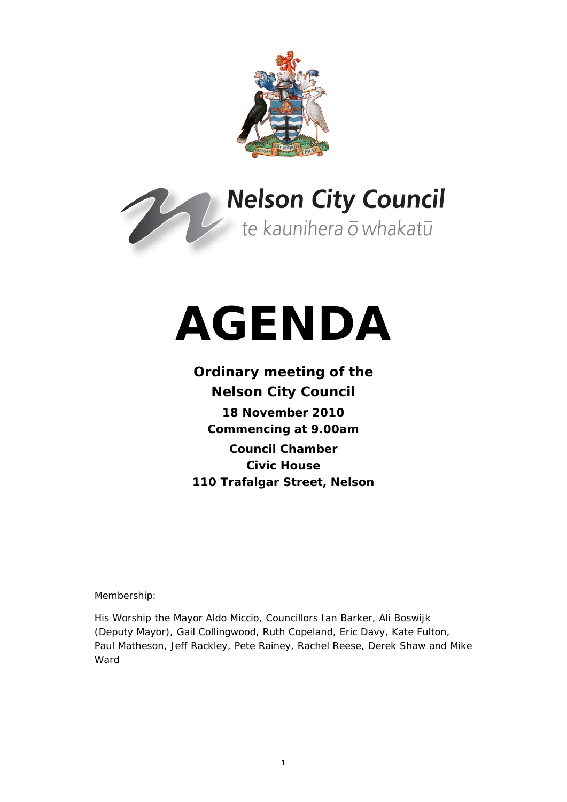



# **AGENDA**

# **Ordinary meeting of the Nelson City Council 18 November 2010 Commencing at 9.00am Council Chamber Civic House 110 Trafalgar Street, Nelson**

Membership:

His Worship the Mayor Aldo Miccio, Councillors Ian Barker, Ali Boswijk (Deputy Mayor), Gail Collingwood, Ruth Copeland, Eric Davy, Kate Fulton, Paul Matheson, Jeff Rackley, Pete Rainey, Rachel Reese, Derek Shaw and Mike Ward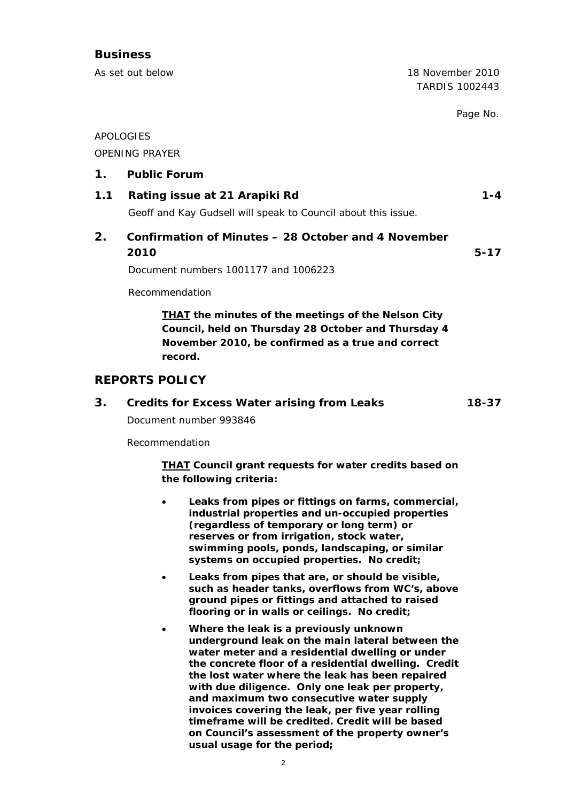## **Business**

As set out below 18 November 2010 TARDIS 1002443 Page No. APOLOGIES OPENING PRAYER **1. Public Forum 1.1 Rating issue at 21 Arapiki Rd 1.4 1.4** Geoff and Kay Gudsell will speak to Council about this issue. **2. Confirmation of Minutes – 28 October and 4 November 2010 5-17**  Document numbers 1001177 and 1006223 Recommendation *THAT the minutes of the meetings of the Nelson City Council, held on Thursday 28 October and Thursday 4* 

*November 2010, be confirmed as a true and correct* 

## **REPORTS POLICY**

#### **3. Credits for Excess Water arising from Leaks 18-37**

Document number 993846

*record.* 

Recommendation

*THAT Council grant requests for water credits based on the following criteria:* 

- *Leaks from pipes or fittings on farms, commercial, industrial properties and un-occupied properties (regardless of temporary or long term) or reserves or from irrigation, stock water, swimming pools, ponds, landscaping, or similar systems on occupied properties. No credit;*
- *Leaks from pipes that are, or should be visible, such as header tanks, overflows from WC's, above ground pipes or fittings and attached to raised flooring or in walls or ceilings. No credit;*
- *Where the leak is a previously unknown underground leak on the main lateral between the water meter and a residential dwelling or under the concrete floor of a residential dwelling. Credit the lost water where the leak has been repaired with due diligence. Only one leak per property, and maximum two consecutive water supply invoices covering the leak, per five year rolling timeframe will be credited. Credit will be based on Council's assessment of the property owner's usual usage for the period;*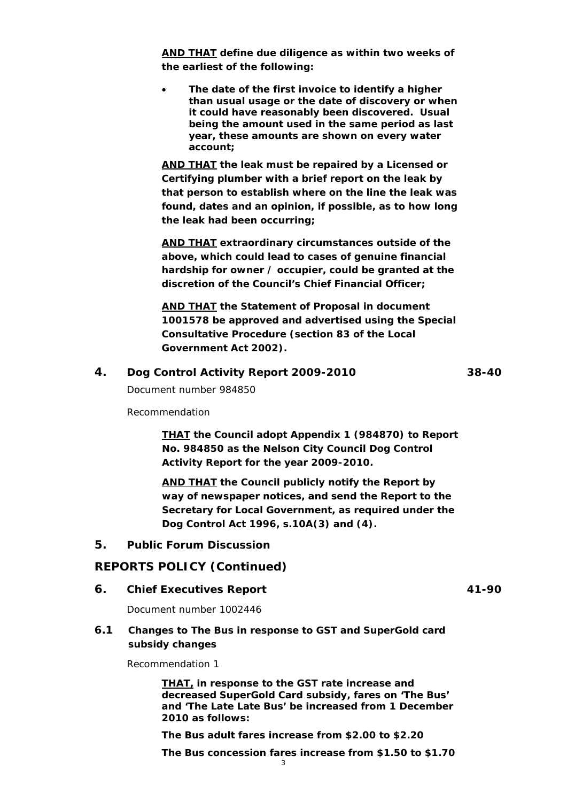*AND THAT define due diligence as within two weeks of the earliest of the following:* 

 *The date of the first invoice to identify a higher than usual usage or the date of discovery or when it could have reasonably been discovered. Usual being the amount used in the same period as last year, these amounts are shown on every water account;* 

*AND THAT the leak must be repaired by a Licensed or Certifying plumber with a brief report on the leak by that person to establish where on the line the leak was found, dates and an opinion, if possible, as to how long the leak had been occurring;* 

*AND THAT extraordinary circumstances outside of the above, which could lead to cases of genuine financial hardship for owner / occupier, could be granted at the discretion of the Council's Chief Financial Officer;* 

*AND THAT the Statement of Proposal in document 1001578 be approved and advertised using the Special Consultative Procedure (section 83 of the Local Government Act 2002).* 

## **4. Dog Control Activity Report 2009-2010 38-40**

Document number 984850

Recommendation

*THAT the Council adopt Appendix 1 (984870) to Report No. 984850 as the Nelson City Council Dog Control Activity Report for the year 2009-2010.* 

*AND THAT the Council publicly notify the Report by way of newspaper notices, and send the Report to the Secretary for Local Government, as required under the Dog Control Act 1996, s.10A(3) and (4).* 

#### **5. Public Forum Discussion**

#### **REPORTS POLICY (Continued)**

**6.** Chief Executives Report **41-90** 

Document number 1002446

## **6.1 Changes to The Bus in response to GST and SuperGold card subsidy changes**

Recommendation 1

*THAT, in response to the GST rate increase and decreased SuperGold Card subsidy, fares on 'The Bus' and 'The Late Late Bus' be increased from 1 December 2010 as follows:* 

*The Bus adult fares increase from \$2.00 to \$2.20* 

*The Bus concession fares increase from \$1.50 to \$1.70*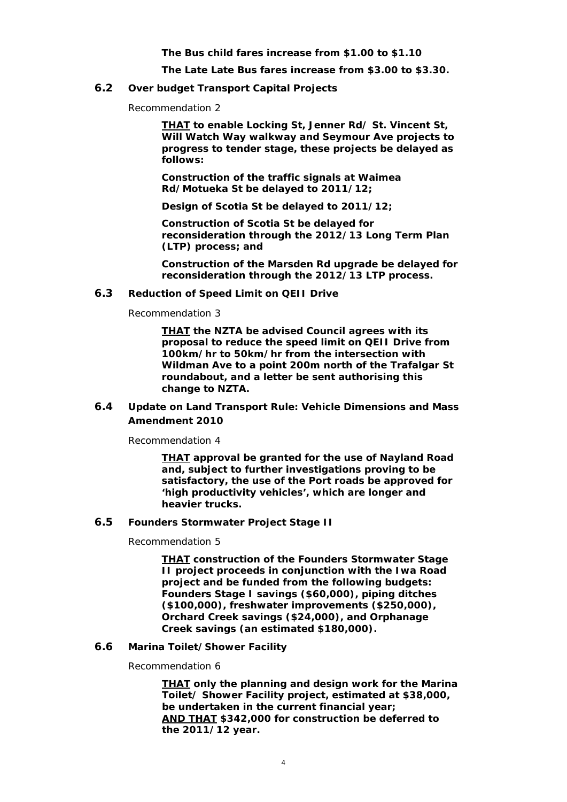*The Bus child fares increase from \$1.00 to \$1.10* 

*The Late Late Bus fares increase from \$3.00 to \$3.30.* 

#### **6.2 Over budget Transport Capital Projects**

Recommendation 2

*THAT to enable Locking St, Jenner Rd/ St. Vincent St, Will Watch Way walkway and Seymour Ave projects to progress to tender stage, these projects be delayed as follows:* 

*Construction of the traffic signals at Waimea Rd/Motueka St be delayed to 2011/12;* 

*Design of Scotia St be delayed to 2011/12;* 

*Construction of Scotia St be delayed for reconsideration through the 2012/13 Long Term Plan (LTP) process; and* 

*Construction of the Marsden Rd upgrade be delayed for reconsideration through the 2012/13 LTP process.* 

#### **6.3 Reduction of Speed Limit on QEII Drive**

Recommendation 3

*THAT the NZTA be advised Council agrees with its proposal to reduce the speed limit on QEII Drive from 100km/hr to 50km/hr from the intersection with Wildman Ave to a point 200m north of the Trafalgar St roundabout, and a letter be sent authorising this change to NZTA.* 

### **6.4 Update on Land Transport Rule: Vehicle Dimensions and Mass Amendment 2010**

Recommendation 4

*THAT approval be granted for the use of Nayland Road and, subject to further investigations proving to be satisfactory, the use of the Port roads be approved for 'high productivity vehicles', which are longer and heavier trucks.* 

#### **6.5 Founders Stormwater Project Stage II**

Recommendation 5

*THAT construction of the Founders Stormwater Stage II project proceeds in conjunction with the Iwa Road project and be funded from the following budgets: Founders Stage I savings (\$60,000), piping ditches (\$100,000), freshwater improvements (\$250,000), Orchard Creek savings (\$24,000), and Orphanage Creek savings (an estimated \$180,000).* 

#### **6.6 Marina Toilet/Shower Facility**

Recommendation 6

*THAT only the planning and design work for the Marina Toilet/ Shower Facility project, estimated at \$38,000, be undertaken in the current financial year; AND THAT \$342,000 for construction be deferred to the 2011/12 year.*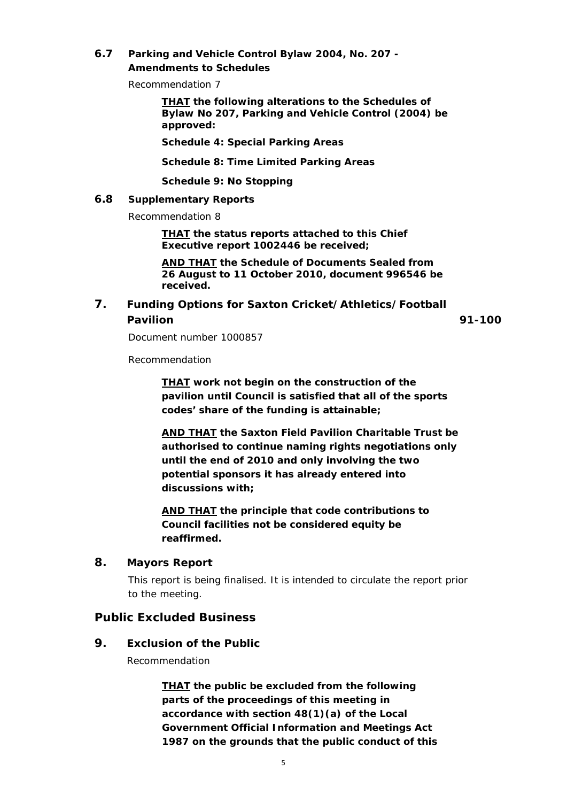## **6.7 Parking and Vehicle Control Bylaw 2004, No. 207 - Amendments to Schedules**

Recommendation 7

*THAT the following alterations to the Schedules of Bylaw No 207, Parking and Vehicle Control (2004) be approved:* 

**Schedule 4: Special Parking Areas** 

**Schedule 8: Time Limited Parking Areas** 

*Schedule 9: No Stopping* 

### **6.8 Supplementary Reports**

Recommendation 8

*THAT the status reports attached to this Chief Executive report 1002446 be received;* 

*AND THAT the Schedule of Documents Sealed from 26 August to 11 October 2010, document 996546 be received.* 

## **7. Funding Options for Saxton Cricket/Athletics/Football Pavilion 91-100**

Document number 1000857

Recommendation

*THAT work not begin on the construction of the pavilion until Council is satisfied that all of the sports codes' share of the funding is attainable;* 

*AND THAT the Saxton Field Pavilion Charitable Trust be authorised to continue naming rights negotiations only until the end of 2010 and only involving the two potential sponsors it has already entered into discussions with;* 

*AND THAT the principle that code contributions to Council facilities not be considered equity be reaffirmed.* 

## **8. Mayors Report**

This report is being finalised. It is intended to circulate the report prior to the meeting.

## **Public Excluded Business**

## **9. Exclusion of the Public**

Recommendation

*THAT the public be excluded from the following parts of the proceedings of this meeting in accordance with section 48(1)(a) of the Local Government Official Information and Meetings Act 1987 on the grounds that the public conduct of this*